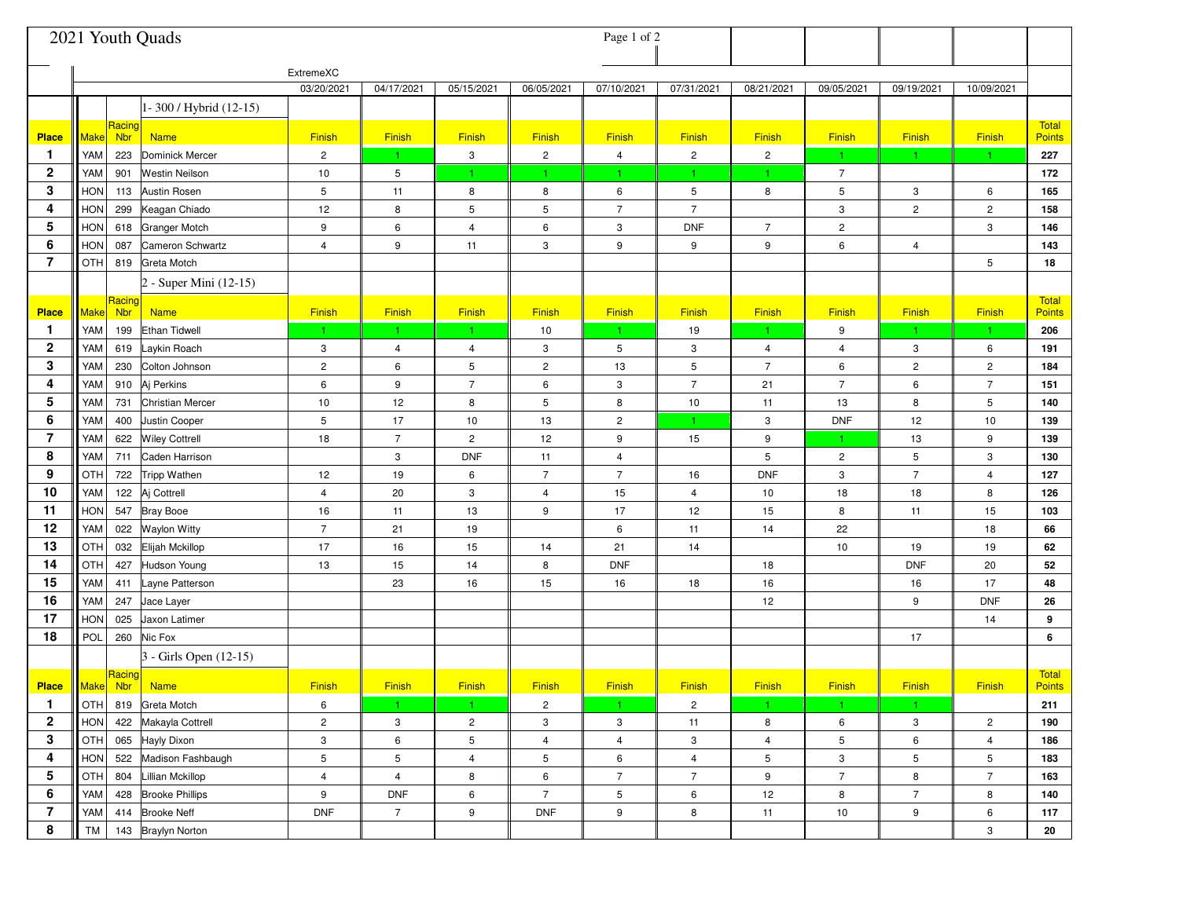|                              |                   |                      | 2021 Youth Quads                    |                   |                |                |                 | Page 1 of 2             |                |                                  |                |                     |                   |                        |
|------------------------------|-------------------|----------------------|-------------------------------------|-------------------|----------------|----------------|-----------------|-------------------------|----------------|----------------------------------|----------------|---------------------|-------------------|------------------------|
|                              | ExtremeXC         |                      |                                     |                   | 04/17/2021     | 05/15/2021     | 06/05/2021      | 07/10/2021              | 07/31/2021     | 08/21/2021                       | 09/05/2021     | 09/19/2021          | 10/09/2021        |                        |
|                              |                   |                      | 1-300 / Hybrid (12-15)              |                   |                |                |                 |                         |                |                                  |                |                     |                   |                        |
| <b>Place</b>                 | <u> Make</u>      | Racing<br><b>Nbr</b> | <b>Name</b>                         | Finish            | Finish         | Finish         | Finish          | Finish                  | Finish         | Finish                           | Finish         | Finish              | Finish            | Total<br><b>Points</b> |
| $\mathbf{1}$                 | YAM               | 223                  | <b>Dominick Mercer</b>              | $\overline{c}$    | $\mathbf{1}$   | 3              | $\overline{c}$  | 4                       | $\overline{c}$ | $\overline{c}$                   | $\mathbf{1}$   | 1.                  | 1.                | 227                    |
| 2                            | YAM               | 901                  | <b>Westin Neilson</b>               | 10                | 5              | 1              |                 |                         |                | 1                                | $\overline{7}$ |                     |                   | 172                    |
| 3                            | HON               | 113                  | <b>Austin Rosen</b>                 | 5                 | 11             | 8              | 8               | 6                       | 5              | 8                                | 5              | 3                   | 6                 | 165                    |
| 4                            | <b>HON</b>        | 299                  | Keagan Chiado                       | 12                | 8              | 5              | 5               | $\overline{7}$          | $\overline{7}$ |                                  | 3              | $\overline{c}$      | $\overline{c}$    | 158                    |
| 5                            | <b>HON</b>        | 618                  | <b>Granger Motch</b>                | 9                 | 6              | 4              | 6               | 3                       | <b>DNF</b>     | $\overline{7}$                   | 2              |                     | 3                 | 146                    |
| 6                            | <b>HON</b>        | 087                  | Cameron Schwartz                    | $\overline{4}$    | 9              | 11             | 3               | 9                       | 9              | 9                                | 6              | 4                   |                   | 143                    |
| 7                            | OTH               | 819                  | <b>Greta Motch</b>                  |                   |                |                |                 |                         |                |                                  |                |                     | 5                 | 18                     |
|                              |                   |                      | 2 - Super Mini (12-15)              |                   |                |                |                 |                         |                |                                  |                |                     |                   |                        |
|                              |                   | Racing               |                                     |                   |                |                |                 |                         |                |                                  |                |                     |                   | <b>Total</b>           |
| <b>Place</b>                 | $ \mathsf{Make} $ | <b>Nbr</b>           | <b>Name</b><br><b>Ethan Tidwell</b> | <b>Finish</b>     | <b>Finish</b>  | <b>Finish</b>  | <b>Finish</b>   | <b>Finish</b>           | <b>Finish</b>  | Finish<br>$\mathbf{1}$           | <b>Finish</b>  | Finish              | <b>Finish</b>     | <b>Points</b>          |
| $\mathbf{1}$<br>$\mathbf{2}$ | YAM<br>YAM        | 199                  | Laykin Roach                        | $\mathbf{1}$<br>3 | $\mathbf{1}$   | $\vert$ 1<br>4 | 10<br>3         | $\mathbf{1}$            | 19<br>3        |                                  | 9<br>4         | $\mathbf{1}$        | $\mathbf{1}$<br>6 | 206<br>191             |
| 3                            | YAM               | 619<br>230           | Colton Johnson                      | $\overline{c}$    | 4<br>6         | 5              | $\overline{c}$  | 5<br>13                 | 5              | $\overline{4}$<br>$\overline{7}$ | 6              | 3<br>$\overline{c}$ | $\overline{2}$    | 184                    |
| 4                            | YAM               |                      | Aj Perkins                          | 6                 | 9              | $\overline{7}$ | 6               |                         | $\overline{7}$ | 21                               | $\overline{7}$ | 6                   | 7                 | 151                    |
| 5                            | YAM               | 910<br>731           | <b>Christian Mercer</b>             | 10                | 12             | 8              | 5               | 3<br>8                  | $10$           | 11                               | 13             | 8                   | 5                 | 140                    |
| 6                            | YAM               | 400                  | Justin Cooper                       | 5                 | 17             | 10             | 13              | $\overline{\mathbf{c}}$ | $\mathbf{1}$   | 3                                | <b>DNF</b>     | 12                  | 10                | 139                    |
| 7                            | YAM               | 622                  | <b>Wiley Cottrell</b>               | 18                | $\overline{7}$ | $\overline{c}$ | 12              | 9                       | 15             | 9                                | 1.             | 13                  | 9                 | 139                    |
| 8                            | YAM               | 711                  | Caden Harrison                      |                   | 3              | <b>DNF</b>     | 11              | 4                       |                | 5                                | $\overline{c}$ | 5                   | 3                 | 130                    |
| 9                            | OTH               | 722                  | Tripp Wathen                        | 12                | 19             | 6              | $\overline{7}$  | $\overline{7}$          | 16             | <b>DNF</b>                       | 3              | $\sqrt{7}$          | 4                 | 127                    |
| 10                           | YAM               | 122                  | Aj Cottrell                         | 4                 | 20             | 3              | 4               | 15                      | $\overline{4}$ | 10                               | 18             | 18                  | 8                 | 126                    |
| 11                           | <b>HON</b>        | 547                  | <b>Bray Booe</b>                    | 16                | 11             | 13             | 9               | 17                      | 12             | 15                               | 8              | 11                  | 15                | 103                    |
| 12                           | YAM               | 022                  | <b>Waylon Witty</b>                 | $\overline{7}$    | 21             | 19             |                 | 6                       | 11             | 14                               | 22             |                     | 18                | 66                     |
| 13                           | OTH               | 032                  | Elijah Mckillop                     | 17                | 16             | 15             | 14              | 21                      | 14             |                                  | 10             | 19                  | 19                | 62                     |
| 14                           | OTH               | 427                  | Hudson Young                        | 13                | 15             | 14             | 8               | <b>DNF</b>              |                | 18                               |                | <b>DNF</b>          | 20                | 52                     |
| 15                           | YAM               | 411                  | Layne Patterson                     |                   | 23             | 16             | 15              | 16                      | 18             | 16                               |                | 16                  | 17                | 48                     |
| 16                           | YAM               | 247                  | Jace Layer                          |                   |                |                |                 |                         |                | 12                               |                | 9                   | <b>DNF</b>        | 26                     |
| 17                           | <b>HON</b>        | 025                  | Jaxon Latimer                       |                   |                |                |                 |                         |                |                                  |                |                     | 14                | 9                      |
| 18                           | POL               | 260                  | Nic Fox                             |                   |                |                |                 |                         |                |                                  |                | 17                  |                   | 6                      |
|                              |                   |                      | 3 - Girls Open (12-15)              |                   |                |                |                 |                         |                |                                  |                |                     |                   |                        |
| <b>Place</b>                 |                   | Racing               | <b>Nake</b> Nbr Name                | Finish            | <b>Finish</b>  | Finish         | <b>Finish</b>   | <b>Finish</b>           | Finish         | Finish                           | Finish         | Finish              | <b>Finish</b>     | Total<br><b>Points</b> |
| $\mathbf{1}$                 | OTH               | 819                  | Greta Motch                         | 6                 | $\mathbf{1}$   | $\mathbf{1}$   | $\overline{c}$  | $\mathbf{1}$            | $\overline{c}$ | $\mathbf{1}$                     | 1 <sub>1</sub> | $\vert$ 1           |                   | 211                    |
| $\overline{2}$               | HON               | 422                  | Makayla Cottrell                    | $\overline{2}$    | 3              | $\mathbf{2}$   | 3               | 3                       | 11             | 8                                | 6              | 3                   | $\overline{c}$    | 190                    |
| 3                            | <b>OTH</b>        |                      | 065 Hayly Dixon                     | $\mathbf{3}$      | 6              | 5              | $\overline{4}$  | 4                       | 3              | $\overline{4}$                   | 5              | 6                   | $\overline{4}$    | 186                    |
| 4                            | HON               | 522                  | Madison Fashbaugh                   | 5                 | 5              | 4              | 5               | 6                       | $\overline{4}$ | 5                                | 3              | 5                   | 5                 | 183                    |
| 5                            | <b>OTH</b>        | 804                  | Lillian Mckillop                    | $\overline{4}$    | $\overline{4}$ | 8              | 6               | $\overline{7}$          | $\overline{7}$ | 9                                | $\overline{7}$ | 8                   | $\overline{7}$    | 163                    |
| 6                            | YAM               |                      | 428 Brooke Phillips                 | 9                 | <b>DNF</b>     | 6              | $7\overline{ }$ | 5                       | 6              | 12                               | 8              | $\overline{7}$      | 8                 | 140                    |
| 7                            | YAM               |                      | 414 Brooke Neff                     | <b>DNF</b>        | $\overline{7}$ | 9              | <b>DNF</b>      | 9                       | 8              | 11                               | 10             | 9                   | 6                 | 117                    |
| 8                            | TM                |                      | 143 Braylyn Norton                  |                   |                |                |                 |                         |                |                                  |                |                     | 3                 | 20                     |